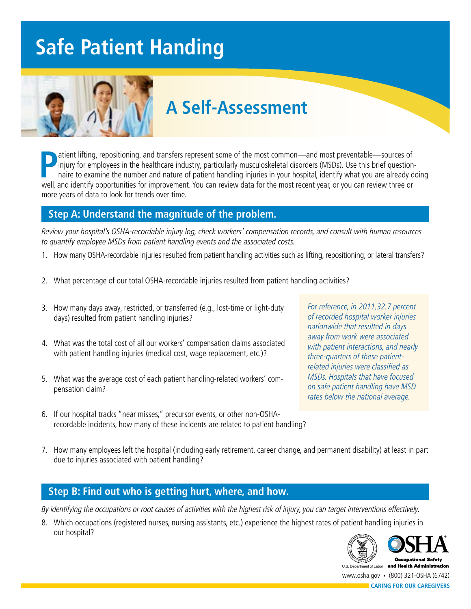# **Safe Patient Handing**



## **A Self-Assessment**

**P**atient lifting, repositioning, and transfers represent some of the most common—and most preventable—sources of<br>
injury for employees in the healthcare industry, particularly musculoskeletal disorders (MSDs). Use this b atient lifting, repositioning, and transfers represent some of the most common—and most preventable—sources of injury for employees in the healthcare industry, particularly musculoskeletal disorders (MSDs). Use this brief questionnaire to examine the number and nature of patient handling injuries in your hospital, identify what you are already doing more years of data to look for trends over time.

### **Step A: Understand the magnitude of the problem.**

Review your hospital's OSHA-recordable injury log, check workers' compensation records, and consult with human resources to quantify employee MSDs from patient handling events and the associated costs.

- 1. How many OSHA-recordable injuries resulted from patient handling activities such as lifting, repositioning, or lateral transfers?
- 2. What percentage of our total OSHA-recordable injuries resulted from patient handling activities?
- 3. How many days away, restricted, or transferred (e.g., lost-time or light-duty days) resulted from patient handling injuries?
- 4. What was the total cost of all our workers' compensation claims associated with patient handling injuries (medical cost, wage replacement, etc.)?
- 5. What was the average cost of each patient handling-related workers' compensation claim?
- 6. If our hospital tracks "near misses," precursor events, or other non-OSHArecordable incidents, how many of these incidents are related to patient handling?

For reference, in 2011,32.7 percent of recorded hospital worker injuries nationwide that resulted in days away from work were associated with patient interactions, and nearly three-quarters of these patientrelated injuries were classified as MSDs. Hospitals that have focused on safe patient handling have MSD rates below the national average.

7. How many employees left the hospital (including early retirement, career change, and permanent disability) at least in part due to injuries associated with patient handling?

### **Step B: Find out who is getting hurt, where, and how.**

By identifying the occupations or root causes of activities with the highest risk of injury, you can target interventions effectively.

8. Which occupations (registered nurses, nursing assistants, etc.) experience the highest rates of patient handling injuries in our hospital?



**CARING FOR OUR CAREGIVERS**